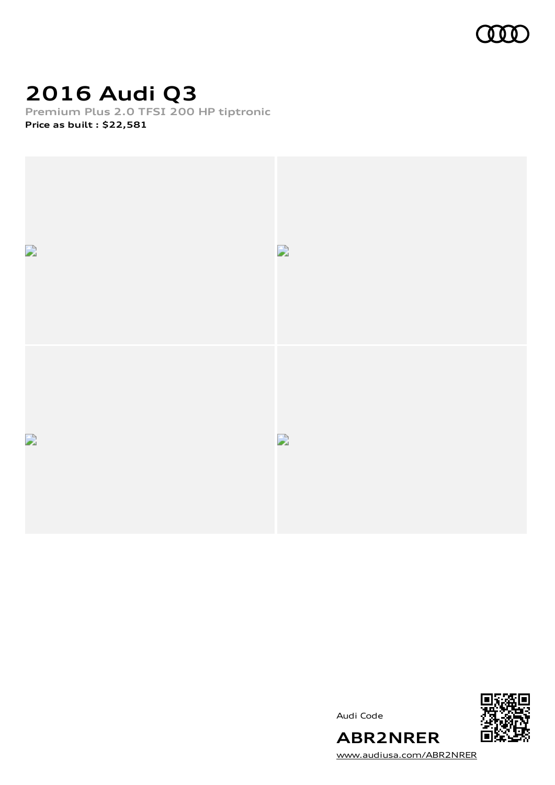

# **2016 Audi Q3**

**Premium Plus 2.0 TFSI 200 HP tiptronic Price as built [:](#page-10-0) \$22,581**



Audi Code



**ABR2NRER** [www.audiusa.com/ABR2NRER](https://www.audiusa.com/ABR2NRER)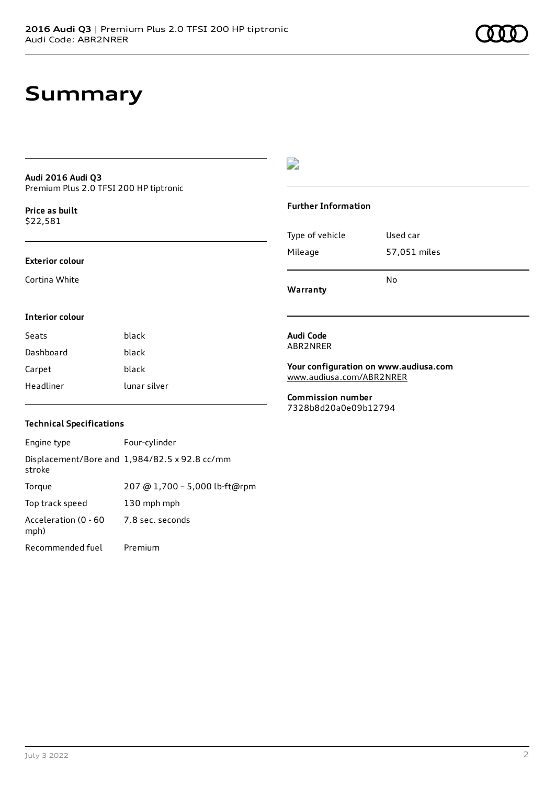## **Summary**

### **Audi 2016 Audi Q3** Premium Plus 2.0 TFSI 200 HP tiptronic

**Price as buil[t](#page-10-0)** \$22,581

### **Exterior colour**

Cortina White

## $\overline{\phantom{a}}$

## **Further Information**

|                 | N٥           |
|-----------------|--------------|
| Mileage         | 57,051 miles |
| Type of vehicle | Used car     |

**Warranty**

### **Interior colour**

| Seats     | black        |
|-----------|--------------|
| Dashboard | black        |
| Carpet    | black        |
| Headliner | lunar silver |

### **Audi Code** ABR2NRER

**Your configuration on www.audiusa.com** [www.audiusa.com/ABR2NRER](https://www.audiusa.com/ABR2NRER)

**Commission number** 7328b8d20a0e09b12794

## **Technical Specifications**

| Engine type                  | Four-cylinder                                 |
|------------------------------|-----------------------------------------------|
| stroke                       | Displacement/Bore and 1,984/82.5 x 92.8 cc/mm |
| Torque                       | 207 @ 1,700 - 5,000 lb-ft@rpm                 |
| Top track speed              | 130 mph mph                                   |
| Acceleration (0 - 60<br>mph) | 7.8 sec. seconds                              |
| Recommended fuel             | Premium                                       |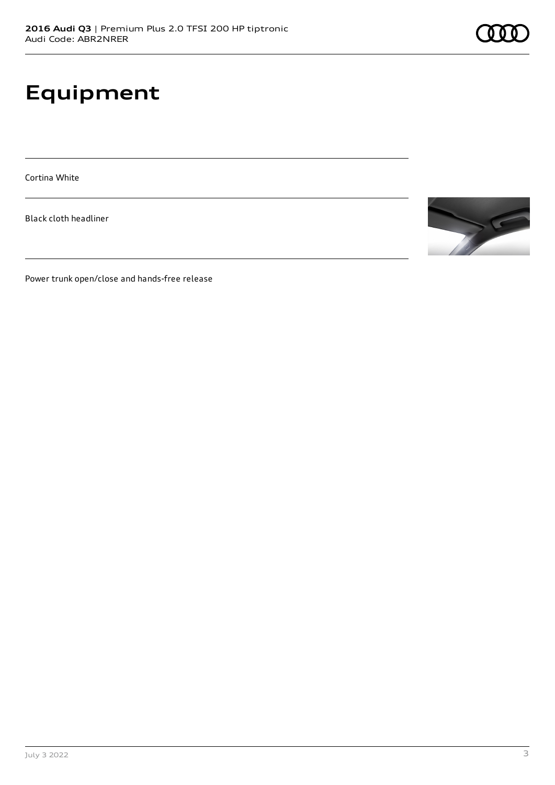# **Equipment**

Cortina White

Black cloth headliner



Power trunk open/close and hands-free release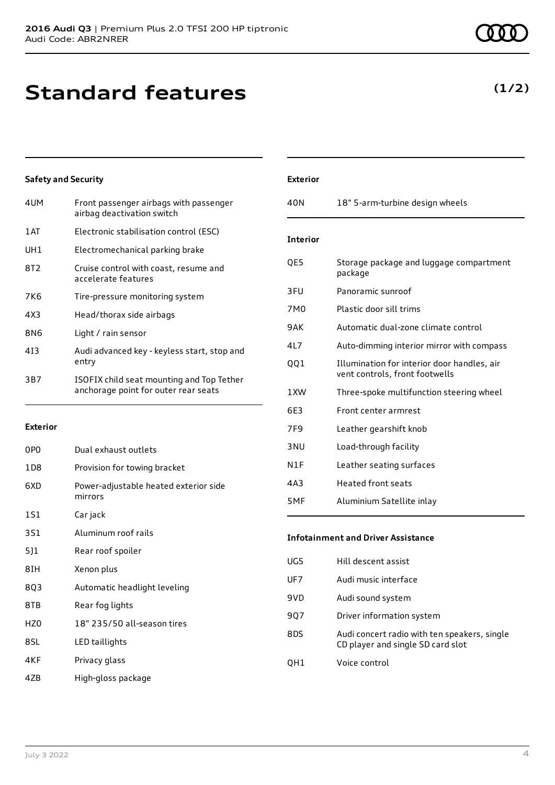## **Standard features**

## **Safety and Security**

| 4UM  | Front passenger airbags with passenger<br>airbag deactivation switch              |
|------|-----------------------------------------------------------------------------------|
| 1 AT | Electronic stabilisation control (ESC)                                            |
| UH1  | Electromechanical parking brake                                                   |
| 8T2  | Cruise control with coast, resume and<br>accelerate features                      |
| 7K6  | Tire-pressure monitoring system                                                   |
| 4X3  | Head/thorax side airbags                                                          |
| 8N6  | Light / rain sensor                                                               |
| 413  | Audi advanced key - keyless start, stop and<br>entry                              |
| 3B7  | ISOFIX child seat mounting and Top Tether<br>anchorage point for outer rear seats |

## **Exterior**

| Dual exhaust outlets                             |
|--------------------------------------------------|
| Provision for towing bracket                     |
| Power-adjustable heated exterior side<br>mirrors |
| Car jack                                         |
| Aluminum roof rails                              |
| Rear roof spoiler                                |
| Xenon plus                                       |
| Automatic headlight leveling                     |
| Rear fog lights                                  |
| 18" 235/50 all-season tires                      |
| LED taillights                                   |
| Privacy glass                                    |
|                                                  |

4ZB High-gloss package

## **Exterior**

| 40N              | 18" 5-arm-turbine design wheels                                               |
|------------------|-------------------------------------------------------------------------------|
| <b>Interior</b>  |                                                                               |
| QE5              | Storage package and luggage compartment<br>package                            |
| 3FU              | Panoramic sunroof                                                             |
| 7M0              | Plastic door sill trims                                                       |
| 9AK              | Automatic dual-zone climate control                                           |
| 417              | Auto-dimming interior mirror with compass                                     |
| QQ1              | Illumination for interior door handles, air<br>vent controls, front footwells |
| 1 XW             | Three-spoke multifunction steering wheel                                      |
| 6E3              | Front center armrest                                                          |
| 7F9              | Leather gearshift knob                                                        |
| 3 <sub>NU</sub>  | Load-through facility                                                         |
| N <sub>1</sub> F | Leather seating surfaces                                                      |
| 4A3              | <b>Heated front seats</b>                                                     |
| 5MF              | Aluminium Satellite inlay                                                     |

## **Infotainment and Driver Assistance**

| UG5 | Hill descent assist                                                               |
|-----|-----------------------------------------------------------------------------------|
| UF7 | Audi music interface                                                              |
| 9VD | Audi sound system                                                                 |
| 907 | Driver information system                                                         |
| 8DS | Audi concert radio with ten speakers, single<br>CD player and single SD card slot |
| OH1 | Voice control                                                                     |

**(1/2)**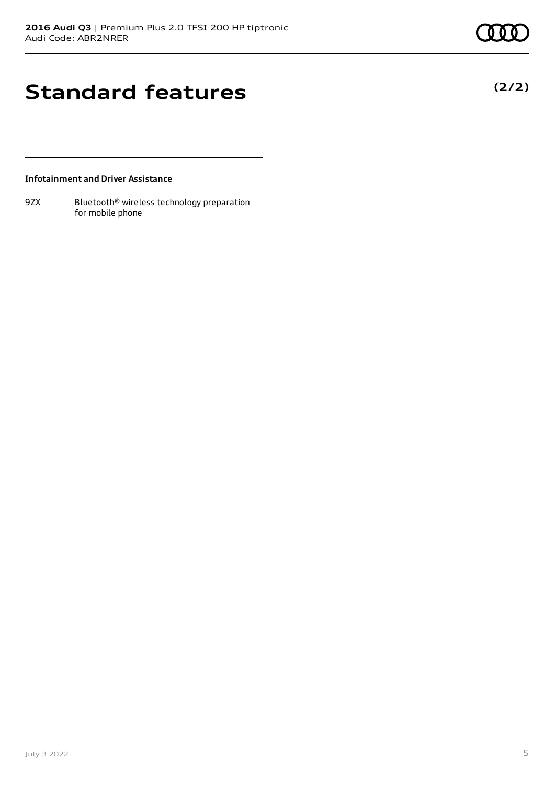**(2/2)**

# **Standard features**

**Infotainment and Driver Assistance**

9ZX Bluetooth<sup>®</sup> wireless technology preparation for mobile phone

July 3 2022 5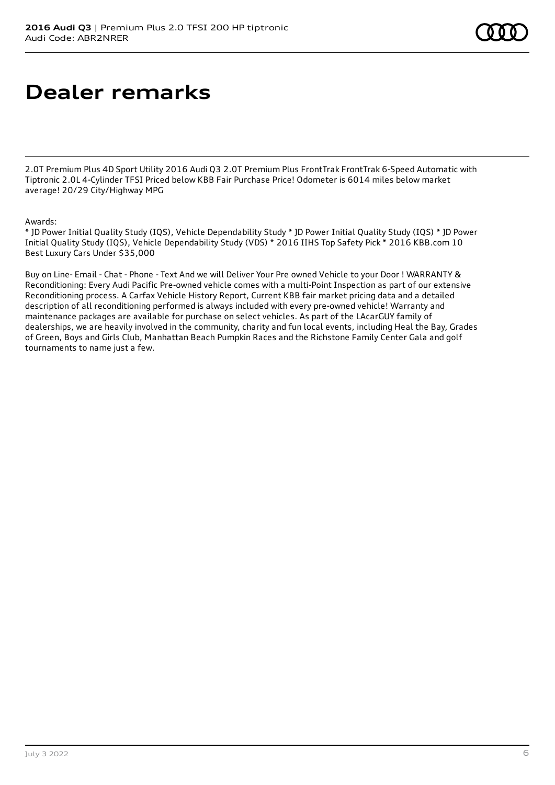# **Dealer remarks**

2.0T Premium Plus 4D Sport Utility 2016 Audi Q3 2.0T Premium Plus FrontTrak FrontTrak 6-Speed Automatic with Tiptronic 2.0L 4-Cylinder TFSI Priced below KBB Fair Purchase Price! Odometer is 6014 miles below market average! 20/29 City/Highway MPG

## Awards:

\* JD Power Initial Quality Study (IQS), Vehicle Dependability Study \* JD Power Initial Quality Study (IQS) \* JD Power Initial Quality Study (IQS), Vehicle Dependability Study (VDS) \* 2016 IIHS Top Safety Pick \* 2016 KBB.com 10 Best Luxury Cars Under \$35,000

Buy on Line- Email - Chat - Phone - Text And we will Deliver Your Pre owned Vehicle to your Door ! WARRANTY & Reconditioning: Every Audi Pacific Pre-owned vehicle comes with a multi-Point Inspection as part of our extensive Reconditioning process. A Carfax Vehicle History Report, Current KBB fair market pricing data and a detailed description of all reconditioning performed is always included with every pre-owned vehicle! Warranty and maintenance packages are available for purchase on select vehicles. As part of the LAcarGUY family of dealerships, we are heavily involved in the community, charity and fun local events, including Heal the Bay, Grades of Green, Boys and Girls Club, Manhattan Beach Pumpkin Races and the Richstone Family Center Gala and golf tournaments to name just a few.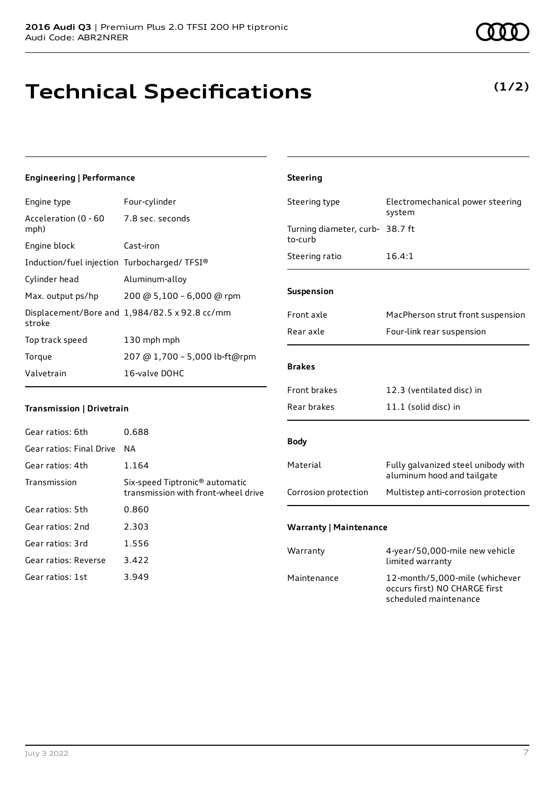# **Technical Specifications**

## **Engineering | Performance**

| Engine type                                     | Four-cylinder                                 |
|-------------------------------------------------|-----------------------------------------------|
| Acceleration (0 - 60 - 7.8 sec. seconds<br>mph) |                                               |
| Engine block                                    | Cast-iron                                     |
| Induction/fuel injection Turbocharged/TFSI®     |                                               |
| Cylinder head                                   | Aluminum-alloy                                |
| Max. output ps/hp                               | 200 @ 5,100 - 6,000 @ rpm                     |
| stroke                                          | Displacement/Bore and 1,984/82.5 x 92.8 cc/mm |
| Top track speed                                 | 130 mph mph                                   |
| Torque                                          | 207 @ 1,700 - 5,000 lb-ft@rpm                 |
| Valvetrain                                      | 16-valve DOHC                                 |
|                                                 |                                               |

## **Transmission | Drivetrain**

| 0.688                                                                             |
|-----------------------------------------------------------------------------------|
| ΝA                                                                                |
| 1.164                                                                             |
| Six-speed Tiptronic <sup>®</sup> automatic<br>transmission with front-wheel drive |
| 0.860                                                                             |
| 2.303                                                                             |
| 1.556                                                                             |
| 3.422                                                                             |
| 3.949                                                                             |
|                                                                                   |

| <b>COOD</b> |
|-------------|
| (1/2)       |
|             |

| <b>Steering</b>                            |                                                                                          |
|--------------------------------------------|------------------------------------------------------------------------------------------|
| Steering type                              | Electromechanical power steering<br>system                                               |
| Turning diameter, curb- 38.7 ft<br>to-curb |                                                                                          |
| Steering ratio                             | 16.4:1                                                                                   |
| Suspension                                 |                                                                                          |
| Front axle                                 | MacPherson strut front suspension                                                        |
| Rear axle                                  | Four-link rear suspension                                                                |
| <b>Brakes</b>                              |                                                                                          |
| <b>Front brakes</b>                        | 12.3 (ventilated disc) in                                                                |
| Rear brakes                                | 11.1 (solid disc) in                                                                     |
| <b>Body</b>                                |                                                                                          |
| Material                                   | Fully galvanized steel unibody with<br>aluminum hood and tailgate                        |
| Corrosion protection                       | Multistep anti-corrosion protection                                                      |
| <b>Warranty   Maintenance</b>              |                                                                                          |
| Warranty                                   | 4-year/50,000-mile new vehicle<br>limited warranty                                       |
| Maintenance                                | 12-month/5,000-mile (whichever<br>occurs first) NO CHARGE first<br>scheduled maintenance |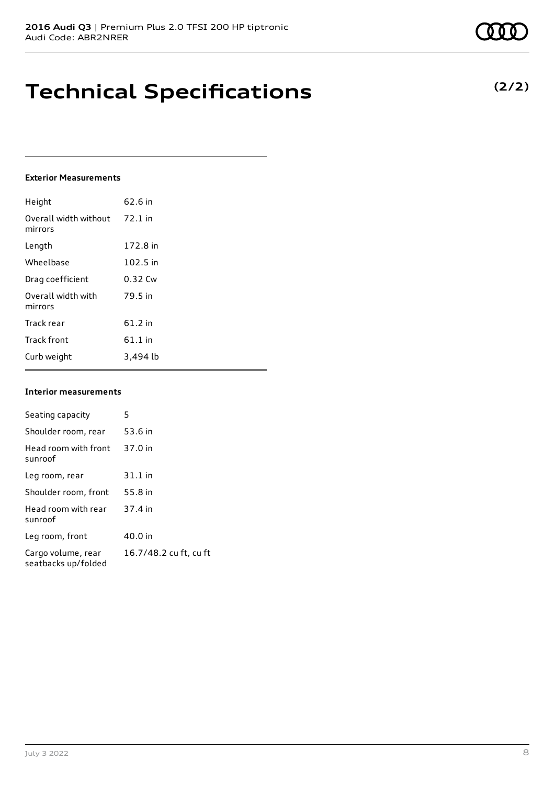## **Technical Specifications**

### **Exterior Measurements**

| Height                           | 62.6 in   |
|----------------------------------|-----------|
| Overall width without<br>mirrors | $72.1$ in |
| Length                           | 172.8 in  |
| Wheelbase                        | 102.5 in  |
| Drag coefficient                 | 0.32 Cw   |
| Overall width with<br>mirrors    | 79.5 in   |
| Track rear                       | 61.2 in   |
| <b>Track front</b>               | $61.1$ in |
| Curb weight                      | 3,494 lb  |

## **Interior measurements**

| Seating capacity                          | 5                      |
|-------------------------------------------|------------------------|
| Shoulder room, rear                       | 53.6 in                |
| Head room with front<br>sunroof           | 37.0 in                |
| Leg room, rear                            | $31.1$ in              |
| Shoulder room, front                      | 55.8 in                |
| Head room with rear<br>sunroof            | 37.4 in                |
| Leg room, front                           | 40.0 in                |
| Cargo volume, rear<br>seatbacks up/folded | 16.7/48.2 cu ft, cu ft |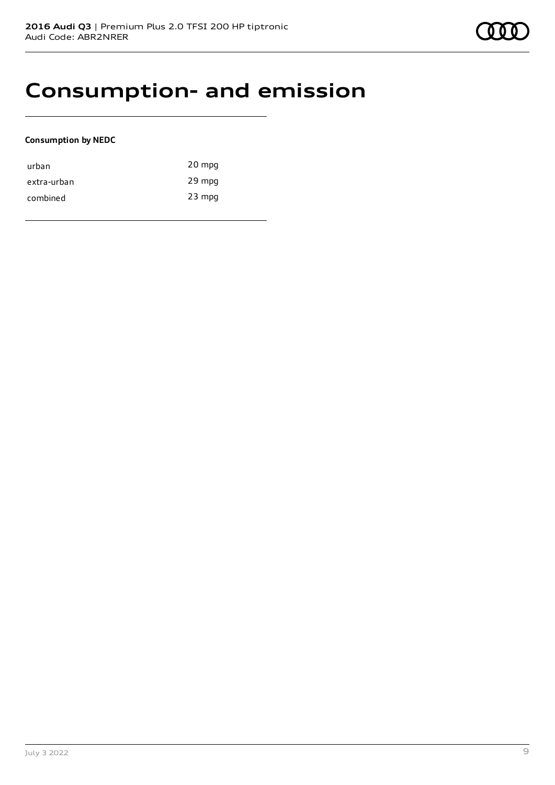## **Consumption- and emission**

## **Consumption by NEDC**

| urban       | 20 mpg   |
|-------------|----------|
| extra-urban | 29 mpg   |
| combined    | $23$ mpg |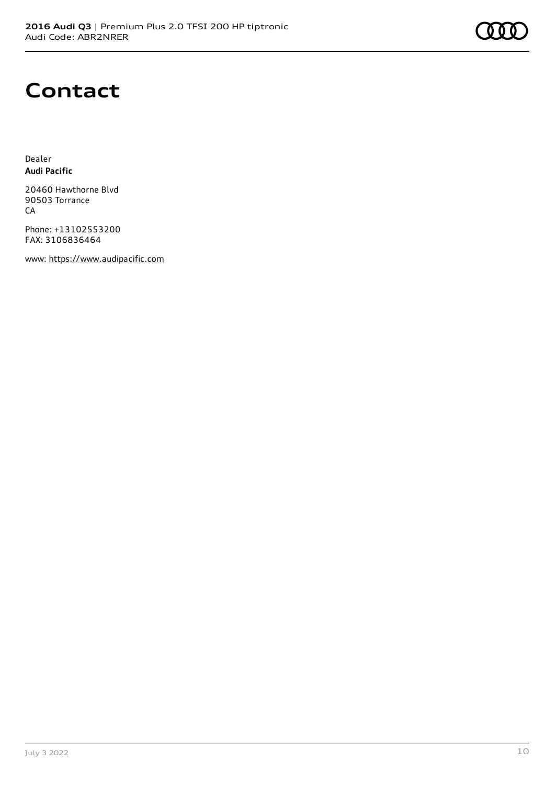# **Contact**

Dealer **Audi Pacific**

20460 Hawthorne Blvd 90503 Torrance CA

Phone: +13102553200 FAX: 3106836464

www: [https://www.audipacific.com](https://www.audipacific.com/)